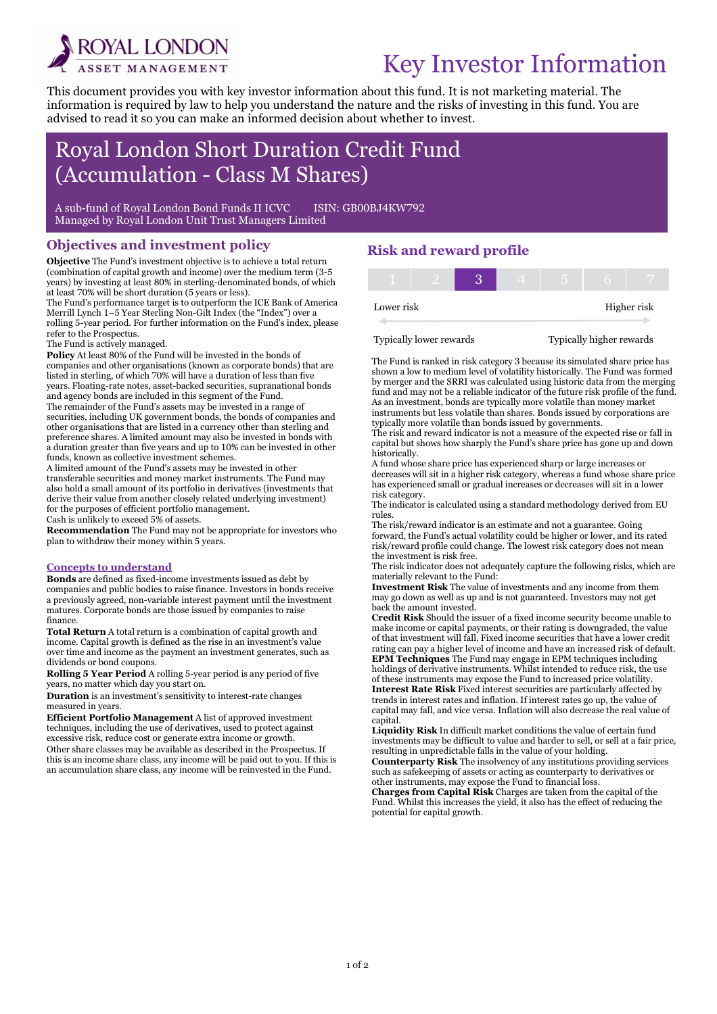

# Key Investor Information

This document provides you with key investor information about this fund. It is not marketing material. The information is required by law to help you understand the nature and the risks of investing in this fund. You are advised to read it so you can make an informed decision about whether to invest.

## Royal London Short Duration Credit Fund (Accumulation - Class M Shares)

A sub-fund of Royal London Bond Funds II ICVC ISIN: GB00BJ4KW792 Managed by Royal London Unit Trust Managers Limited

#### Objectives and investment policy

Objective The Fund's investment objective is to achieve a total return (combination of capital growth and income) over the medium term (3-5 years) by investing at least 80% in sterling-denominated bonds, of which at least 70% will be short duration (5 years or less).

The Fund's performance target is to outperform the ICE Bank of America Merrill Lynch 1–5 Year Sterling Non-Gilt Index (the "Index") over a rolling 5-year period. For further information on the Fund's index, please refer to the Prospectus.

The Fund is actively managed.

i

Policy At least 80% of the Fund will be invested in the bonds of companies and other organisations (known as corporate bonds) that are listed in sterling, of which 70% will have a duration of less than five years. Floating-rate notes, asset-backed securities, supranational bonds and agency bonds are included in this segment of the Fund. The remainder of the Fund's assets may be invested in a range of securities, including UK government bonds, the bonds of companies and other organisations that are listed in a currency other than sterling and preference shares. A limited amount may also be invested in bonds with a duration greater than five years and up to 10% can be invested in other funds, known as collective investment schemes.

A limited amount of the Fund's assets may be invested in other transferable securities and money market instruments. The Fund may also hold a small amount of its portfolio in derivatives (investments that derive their value from another closely related underlying investment) for the purposes of efficient portfolio management.

Cash is unlikely to exceed 5% of assets.

Recommendation The Fund may not be appropriate for investors who plan to withdraw their money within 5 years.

#### Concepts to understand

Bonds are defined as fixed-income investments issued as debt by companies and public bodies to raise finance. Investors in bonds receive a previously agreed, non-variable interest payment until the investment matures. Corporate bonds are those issued by companies to raise finance.

Total Return A total return is a combination of capital growth and income. Capital growth is defined as the rise in an investment's value over time and income as the payment an investment generates, such as dividends or bond coupons.

Rolling 5 Year Period A rolling 5-year period is any period of five years, no matter which day you start on.

Duration is an investment's sensitivity to interest-rate changes measured in years.

Efficient Portfolio Management A list of approved investment techniques, including the use of derivatives, used to protect against excessive risk, reduce cost or generate extra income or growth.

Other share classes may be available as described in the Prospectus. If this is an income share class, any income will be paid out to you. If this is an accumulation share class, any income will be reinvested in the Fund.

## Risk and reward profile

| Lower risk |  |  |  | Higher risk |
|------------|--|--|--|-------------|

Typically lower rewards Typically higher rewards

The Fund is ranked in risk category 3 because its simulated share price has shown a low to medium level of volatility historically. The Fund was formed by merger and the SRRI was calculated using historic data from the merging fund and may not be a reliable indicator of the future risk profile of the fund. As an investment, bonds are typically more volatile than money market instruments but less volatile than shares. Bonds issued by corporations are typically more volatile than bonds issued by governments.

The risk and reward indicator is not a measure of the expected rise or fall in capital but shows how sharply the Fund's share price has gone up and down historically.

A fund whose share price has experienced sharp or large increases or decreases will sit in a higher risk category, whereas a fund whose share price has experienced small or gradual increases or decreases will sit in a lower risk category.

The indicator is calculated using a standard methodology derived from EU rules.

The risk/reward indicator is an estimate and not a guarantee. Going forward, the Fund's actual volatility could be higher or lower, and its rated risk/reward profile could change. The lowest risk category does not mean the investment is risk free.

The risk indicator does not adequately capture the following risks, which are materially relevant to the Fund:

Investment Risk The value of investments and any income from them may go down as well as up and is not guaranteed. Investors may not get back the amount invested.

Credit Risk Should the issuer of a fixed income security become unable to make income or capital payments, or their rating is downgraded, the value of that investment will fall. Fixed income securities that have a lower credit rating can pay a higher level of income and have an increased risk of default. EPM Techniques The Fund may engage in EPM techniques including holdings of derivative instruments. Whilst intended to reduce risk, the use of these instruments may expose the Fund to increased price volatility. Interest Rate Risk Fixed interest securities are particularly affected by trends in interest rates and inflation. If interest rates go up, the value of capital may fall, and vice versa. Inflation will also decrease the real value of capital.

Liquidity Risk In difficult market conditions the value of certain fund investments may be difficult to value and harder to sell, or sell at a fair price, resulting in unpredictable falls in the value of your holding.

Counterparty Risk The insolvency of any institutions providing services such as safekeeping of assets or acting as counterparty to derivatives or other instruments, may expose the Fund to financial loss.

Charges from Capital Risk Charges are taken from the capital of the Fund. Whilst this increases the yield, it also has the effect of reducing the potential for capital growth.